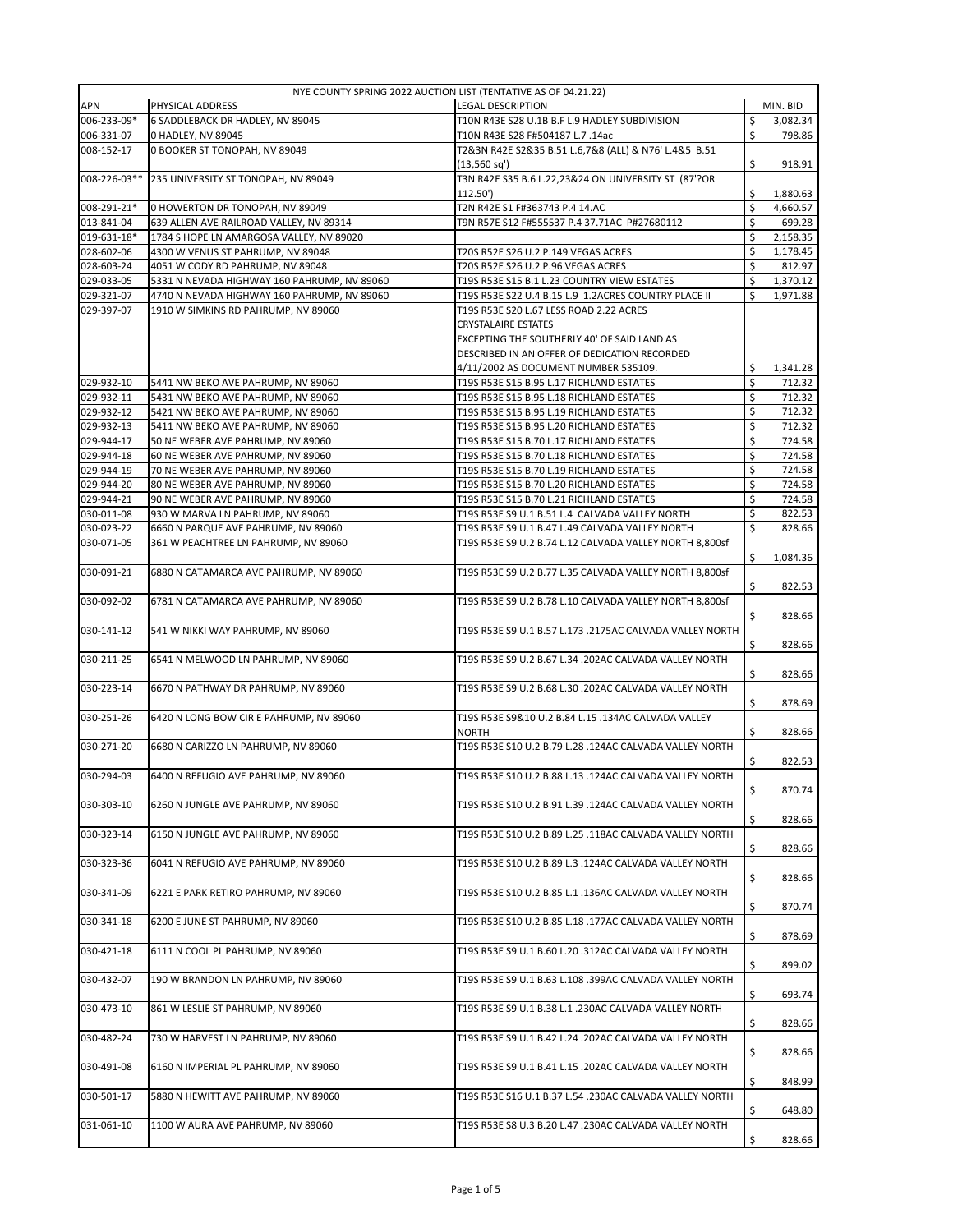|              | NYE COUNTY SPRING 2022 AUCTION LIST (TENTATIVE AS OF 04.21.22) |                                                          |    |          |
|--------------|----------------------------------------------------------------|----------------------------------------------------------|----|----------|
| APN          | PHYSICAL ADDRESS                                               | <b>LEGAL DESCRIPTION</b>                                 |    | MIN. BID |
| 006-233-09*  | 6 SADDLEBACK DR HADLEY, NV 89045                               | T10N R43E S28 U.1B B.F L.9 HADLEY SUBDIVISION            | \$ | 3,082.34 |
| 006-331-07   | 0 HADLEY, NV 89045                                             | T10N R43E S28 F#504187 L.7 .14ac                         | \$ | 798.86   |
| 008-152-17   | 0 BOOKER ST TONOPAH, NV 89049                                  | T2&3N R42E S2&35 B.51 L.6,7&8 (ALL) & N76' L.4&5 B.51    |    |          |
|              |                                                                | $(13,560 \text{ sq}^{\prime})$                           | \$ | 918.91   |
| 008-226-03** | 235 UNIVERSITY ST TONOPAH, NV 89049                            | T3N R42E S35 B.6 L.22,23&24 ON UNIVERSITY ST (87'?OR     |    |          |
|              |                                                                | 112.50')                                                 | \$ | 1,880.63 |
| 008-291-21*  | 0 HOWERTON DR TONOPAH, NV 89049                                | T2N R42E S1 F#363743 P.4 14.AC                           | \$ | 4,660.57 |
| 013-841-04   | 639 ALLEN AVE RAILROAD VALLEY, NV 89314                        | T9N R57E S12 F#555537 P.4 37.71AC P#27680112             | Ś  | 699.28   |
| 019-631-18*  | 1784 S HOPE LN AMARGOSA VALLEY, NV 89020                       |                                                          | \$ | 2,158.35 |
| 028-602-06   | 4300 W VENUS ST PAHRUMP, NV 89048                              | T20S R52E S26 U.2 P.149 VEGAS ACRES                      | \$ | 1,178.45 |
| 028-603-24   | 4051 W CODY RD PAHRUMP, NV 89048                               | T20S R52E S26 U.2 P.96 VEGAS ACRES                       | \$ | 812.97   |
|              |                                                                | T19S R53E S15 B.1 L.23 COUNTRY VIEW ESTATES              |    |          |
| 029-033-05   | 5331 N NEVADA HIGHWAY 160 PAHRUMP, NV 89060                    |                                                          | \$ | 1,370.12 |
| 029-321-07   | 4740 N NEVADA HIGHWAY 160 PAHRUMP, NV 89060                    | T19S R53E S22 U.4 B.15 L.9 1.2ACRES COUNTRY PLACE II     | \$ | 1,971.88 |
| 029-397-07   | 1910 W SIMKINS RD PAHRUMP, NV 89060                            | T19S R53E S20 L.67 LESS ROAD 2.22 ACRES                  |    |          |
|              |                                                                | <b>CRYSTALAIRE ESTATES</b>                               |    |          |
|              |                                                                | EXCEPTING THE SOUTHERLY 40' OF SAID LAND AS              |    |          |
|              |                                                                | DESCRIBED IN AN OFFER OF DEDICATION RECORDED             |    |          |
|              |                                                                | 4/11/2002 AS DOCUMENT NUMBER 535109.                     | \$ | 1,341.28 |
| 029-932-10   | 5441 NW BEKO AVE PAHRUMP, NV 89060                             | T19S R53E S15 B.95 L.17 RICHLAND ESTATES                 | \$ | 712.32   |
| 029-932-11   | 5431 NW BEKO AVE PAHRUMP, NV 89060                             | T19S R53E S15 B.95 L.18 RICHLAND ESTATES                 | \$ | 712.32   |
| 029-932-12   | 5421 NW BEKO AVE PAHRUMP, NV 89060                             | T19S R53E S15 B.95 L.19 RICHLAND ESTATES                 | \$ | 712.32   |
| 029-932-13   | 5411 NW BEKO AVE PAHRUMP, NV 89060                             | T19S R53E S15 B.95 L.20 RICHLAND ESTATES                 | \$ | 712.32   |
| 029-944-17   | 50 NE WEBER AVE PAHRUMP, NV 89060                              | T19S R53E S15 B.70 L.17 RICHLAND ESTATES                 | \$ | 724.58   |
| 029-944-18   | 60 NE WEBER AVE PAHRUMP, NV 89060                              | T19S R53E S15 B.70 L.18 RICHLAND ESTATES                 | \$ | 724.58   |
| 029-944-19   | 70 NE WEBER AVE PAHRUMP, NV 89060                              | T19S R53E S15 B.70 L.19 RICHLAND ESTATES                 | \$ | 724.58   |
| 029-944-20   | 80 NE WEBER AVE PAHRUMP, NV 89060                              | T19S R53E S15 B.70 L.20 RICHLAND ESTATES                 | \$ | 724.58   |
| 029-944-21   | 90 NE WEBER AVE PAHRUMP, NV 89060                              | T19S R53E S15 B.70 L.21 RICHLAND ESTATES                 | \$ | 724.58   |
|              |                                                                |                                                          |    |          |
| 030-011-08   | 930 W MARVA LN PAHRUMP, NV 89060                               | T19S R53E S9 U.1 B.51 L.4 CALVADA VALLEY NORTH           | \$ | 822.53   |
| 030-023-22   | 6660 N PARQUE AVE PAHRUMP, NV 89060                            | T19S R53E S9 U.1 B.47 L.49 CALVADA VALLEY NORTH          | \$ | 828.66   |
| 030-071-05   | 361 W PEACHTREE LN PAHRUMP, NV 89060                           | T19S R53E S9 U.2 B.74 L.12 CALVADA VALLEY NORTH 8,800sf  |    |          |
|              |                                                                |                                                          | \$ | 1,084.36 |
| 030-091-21   | 6880 N CATAMARCA AVE PAHRUMP, NV 89060                         | T19S R53E S9 U.2 B.77 L.35 CALVADA VALLEY NORTH 8,800sf  |    |          |
|              |                                                                |                                                          | \$ | 822.53   |
| 030-092-02   | 6781 N CATAMARCA AVE PAHRUMP, NV 89060                         | T19S R53E S9 U.2 B.78 L.10 CALVADA VALLEY NORTH 8,800sf  |    |          |
|              |                                                                |                                                          | \$ | 828.66   |
| 030-141-12   | 541 W NIKKI WAY PAHRUMP, NV 89060                              | T19S R53E S9 U.1 B.57 L.173 .2175AC CALVADA VALLEY NORTH |    |          |
|              |                                                                |                                                          | \$ | 828.66   |
| 030-211-25   | 6541 N MELWOOD LN PAHRUMP, NV 89060                            | T19S R53E S9 U.2 B.67 L.34 .202AC CALVADA VALLEY NORTH   |    |          |
|              |                                                                |                                                          | \$ | 828.66   |
| 030-223-14   | 6670 N PATHWAY DR PAHRUMP, NV 89060                            | T19S R53E S9 U.2 B.68 L.30 .202AC CALVADA VALLEY NORTH   |    |          |
|              |                                                                |                                                          | \$ | 878.69   |
| 030-251-26   | 6420 N LONG BOW CIR E PAHRUMP, NV 89060                        | T19S R53E S9&10 U.2 B.84 L.15 .134AC CALVADA VALLEY      |    |          |
|              |                                                                | <b>NORTH</b>                                             | \$ | 828.66   |
|              |                                                                | T19S R53E S10 U.2 B.79 L.28 .124AC CALVADA VALLEY NORTH  |    |          |
| 030-271-20   | 6680 N CARIZZO LN PAHRUMP, NV 89060                            |                                                          |    |          |
|              |                                                                |                                                          | \$ | 822.53   |
| 030-294-03   | 6400 N REFUGIO AVE PAHRUMP, NV 89060                           | T19S R53E S10 U.2 B.88 L.13 .124AC CALVADA VALLEY NORTH  |    |          |
|              |                                                                |                                                          | \$ | 870.74   |
| 030-303-10   | 6260 N JUNGLE AVE PAHRUMP, NV 89060                            | T19S R53E S10 U.2 B.91 L.39 .124AC CALVADA VALLEY NORTH  |    |          |
|              |                                                                |                                                          | \$ | 828.66   |
| 030-323-14   | 6150 N JUNGLE AVE PAHRUMP, NV 89060                            | T19S R53E S10 U.2 B.89 L.25 .118AC CALVADA VALLEY NORTH  |    |          |
|              |                                                                |                                                          | \$ | 828.66   |
| 030-323-36   | 6041 N REFUGIO AVE PAHRUMP, NV 89060                           | T19S R53E S10 U.2 B.89 L.3 .124AC CALVADA VALLEY NORTH   |    |          |
|              |                                                                |                                                          | \$ | 828.66   |
| 030-341-09   | 6221 E PARK RETIRO PAHRUMP, NV 89060                           | T19S R53E S10 U.2 B.85 L.1 .136AC CALVADA VALLEY NORTH   |    |          |
|              |                                                                |                                                          | \$ | 870.74   |
| 030-341-18   | 6200 E JUNE ST PAHRUMP, NV 89060                               | T19S R53E S10 U.2 B.85 L.18 .177AC CALVADA VALLEY NORTH  |    |          |
|              |                                                                |                                                          | \$ | 878.69   |
| 030-421-18   | 6111 N COOL PL PAHRUMP, NV 89060                               | T19S R53E S9 U.1 B.60 L.20 .312AC CALVADA VALLEY NORTH   |    |          |
|              |                                                                |                                                          | \$ |          |
|              |                                                                |                                                          |    | 899.02   |
| 030-432-07   | 190 W BRANDON LN PAHRUMP, NV 89060                             | T19S R53E S9 U.1 B.63 L.108 .399AC CALVADA VALLEY NORTH  |    |          |
|              |                                                                |                                                          | \$ | 693.74   |
| 030-473-10   | 861 W LESLIE ST PAHRUMP, NV 89060                              | T19S R53E S9 U.1 B.38 L.1 .230AC CALVADA VALLEY NORTH    |    |          |
|              |                                                                |                                                          | \$ | 828.66   |
| 030-482-24   | 730 W HARVEST LN PAHRUMP, NV 89060                             | T19S R53E S9 U.1 B.42 L.24 .202AC CALVADA VALLEY NORTH   |    |          |
|              |                                                                |                                                          | \$ | 828.66   |
| 030-491-08   | 6160 N IMPERIAL PL PAHRUMP, NV 89060                           | T19S R53E S9 U.1 B.41 L.15 .202AC CALVADA VALLEY NORTH   |    |          |
|              |                                                                |                                                          | \$ | 848.99   |
| 030-501-17   | 5880 N HEWITT AVE PAHRUMP, NV 89060                            | T19S R53E S16 U.1 B.37 L.54 .230AC CALVADA VALLEY NORTH  |    |          |
|              |                                                                |                                                          | \$ | 648.80   |
| 031-061-10   | 1100 W AURA AVE PAHRUMP, NV 89060                              | T19S R53E S8 U.3 B.20 L.47 .230AC CALVADA VALLEY NORTH   |    |          |
|              |                                                                |                                                          | \$ | 828.66   |
|              |                                                                |                                                          |    |          |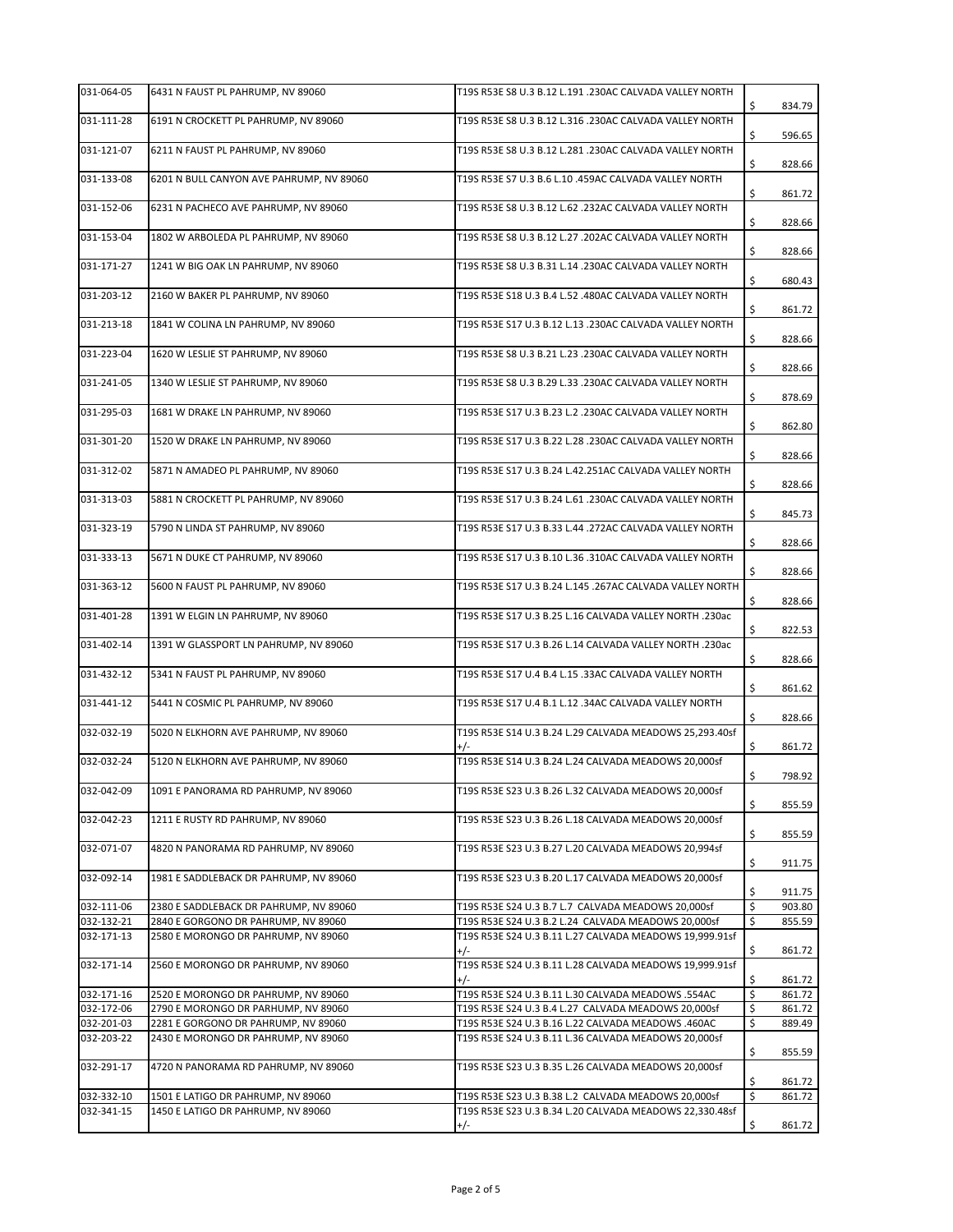| 031-064-05 | 6431 N FAUST PL PAHRUMP, NV 89060        | T19S R53E S8 U.3 B.12 L.191 .230AC CALVADA VALLEY NORTH          | \$<br>834.79 |
|------------|------------------------------------------|------------------------------------------------------------------|--------------|
| 031-111-28 | 6191 N CROCKETT PL PAHRUMP, NV 89060     | T19S R53E S8 U.3 B.12 L.316 .230AC CALVADA VALLEY NORTH          | \$<br>596.65 |
| 031-121-07 | 6211 N FAUST PL PAHRUMP, NV 89060        | T19S R53E S8 U.3 B.12 L.281 .230AC CALVADA VALLEY NORTH          | \$<br>828.66 |
| 031-133-08 | 6201 N BULL CANYON AVE PAHRUMP, NV 89060 | T19S R53E S7 U.3 B.6 L.10 .459AC CALVADA VALLEY NORTH            | \$<br>861.72 |
| 031-152-06 | 6231 N PACHECO AVE PAHRUMP, NV 89060     | T19S R53E S8 U.3 B.12 L.62 .232AC CALVADA VALLEY NORTH           | \$<br>828.66 |
| 031-153-04 | 1802 W ARBOLEDA PL PAHRUMP, NV 89060     | T19S R53E S8 U.3 B.12 L.27 .202AC CALVADA VALLEY NORTH           | \$<br>828.66 |
| 031-171-27 | 1241 W BIG OAK LN PAHRUMP, NV 89060      | T19S R53E S8 U.3 B.31 L.14 .230AC CALVADA VALLEY NORTH           | \$<br>680.43 |
| 031-203-12 | 2160 W BAKER PL PAHRUMP, NV 89060        | T19S R53E S18 U.3 B.4 L.52 .480AC CALVADA VALLEY NORTH           | \$<br>861.72 |
| 031-213-18 | 1841 W COLINA LN PAHRUMP, NV 89060       | T19S R53E S17 U.3 B.12 L.13 .230AC CALVADA VALLEY NORTH          | \$<br>828.66 |
| 031-223-04 | 1620 W LESLIE ST PAHRUMP, NV 89060       | T19S R53E S8 U.3 B.21 L.23 .230AC CALVADA VALLEY NORTH           | \$<br>828.66 |
| 031-241-05 | 1340 W LESLIE ST PAHRUMP, NV 89060       | T19S R53E S8 U.3 B.29 L.33 .230AC CALVADA VALLEY NORTH           | \$<br>878.69 |
| 031-295-03 | 1681 W DRAKE LN PAHRUMP, NV 89060        | T19S R53E S17 U.3 B.23 L.2 .230AC CALVADA VALLEY NORTH           | \$<br>862.80 |
| 031-301-20 | 1520 W DRAKE LN PAHRUMP, NV 89060        | T19S R53E S17 U.3 B.22 L.28 .230AC CALVADA VALLEY NORTH          | \$<br>828.66 |
| 031-312-02 | 5871 N AMADEO PL PAHRUMP, NV 89060       | T19S R53E S17 U.3 B.24 L.42.251AC CALVADA VALLEY NORTH           | \$<br>828.66 |
| 031-313-03 | 5881 N CROCKETT PL PAHRUMP, NV 89060     | T19S R53E S17 U.3 B.24 L.61 .230AC CALVADA VALLEY NORTH          | \$<br>845.73 |
| 031-323-19 | 5790 N LINDA ST PAHRUMP, NV 89060        | T19S R53E S17 U.3 B.33 L.44 .272AC CALVADA VALLEY NORTH          | \$<br>828.66 |
| 031-333-13 | 5671 N DUKE CT PAHRUMP, NV 89060         | T19S R53E S17 U.3 B.10 L.36 .310AC CALVADA VALLEY NORTH          | \$<br>828.66 |
| 031-363-12 | 5600 N FAUST PL PAHRUMP, NV 89060        | T19S R53E S17 U.3 B.24 L.145 .267AC CALVADA VALLEY NORTH         | \$<br>828.66 |
| 031-401-28 | 1391 W ELGIN LN PAHRUMP, NV 89060        | T19S R53E S17 U.3 B.25 L.16 CALVADA VALLEY NORTH .230ac          | \$<br>822.53 |
| 031-402-14 | 1391 W GLASSPORT LN PAHRUMP, NV 89060    | T19S R53E S17 U.3 B.26 L.14 CALVADA VALLEY NORTH .230ac          | \$<br>828.66 |
| 031-432-12 | 5341 N FAUST PL PAHRUMP, NV 89060        | T19S R53E S17 U.4 B.4 L.15 .33AC CALVADA VALLEY NORTH            | \$<br>861.62 |
| 031-441-12 | 5441 N COSMIC PL PAHRUMP, NV 89060       | T19S R53E S17 U.4 B.1 L.12 .34AC CALVADA VALLEY NORTH            | \$<br>828.66 |
| 032-032-19 | 5020 N ELKHORN AVE PAHRUMP, NV 89060     | T19S R53E S14 U.3 B.24 L.29 CALVADA MEADOWS 25,293.40sf<br>$+/-$ | \$<br>861.72 |
| 032-032-24 | 5120 N ELKHORN AVE PAHRUMP, NV 89060     | T19S R53E S14 U.3 B.24 L.24 CALVADA MEADOWS 20,000sf             | \$<br>798.92 |
| 032-042-09 | 1091 E PANORAMA RD PAHRUMP, NV 89060     | T19S R53E S23 U.3 B.26 L.32 CALVADA MEADOWS 20,000sf             | \$<br>855.59 |
| 032-042-23 | 1211 E RUSTY RD PAHRUMP, NV 89060        | T19S R53E S23 U.3 B.26 L.18 CALVADA MEADOWS 20,000sf             | \$<br>855.59 |
| 032-071-07 | 4820 N PANORAMA RD PAHRUMP, NV 89060     | T19S R53E S23 U.3 B.27 L.20 CALVADA MEADOWS 20,994sf             | \$<br>911.75 |
| 032-092-14 | 1981 E SADDLEBACK DR PAHRUMP, NV 89060   | T19S R53E S23 U.3 B.20 L.17 CALVADA MEADOWS 20,000sf             | \$<br>911.75 |
| 032-111-06 | 2380 E SADDLEBACK DR PAHRUMP, NV 89060   | T19S R53E S24 U.3 B.7 L.7 CALVADA MEADOWS 20,000sf               | \$<br>903.80 |
| 032-132-21 | 2840 E GORGONO DR PAHRUMP, NV 89060      | T19S R53E S24 U.3 B.2 L.24 CALVADA MEADOWS 20,000sf              | \$<br>855.59 |
| 032-171-13 | 2580 E MORONGO DR PAHRUMP, NV 89060      | T19S R53E S24 U.3 B.11 L.27 CALVADA MEADOWS 19,999.91sf<br>+/-   | \$<br>861.72 |
| 032-171-14 | 2560 E MORONGO DR PAHRUMP, NV 89060      | T19S R53E S24 U.3 B.11 L.28 CALVADA MEADOWS 19,999.91sf<br>$+/-$ | \$<br>861.72 |
| 032-171-16 | 2520 E MORONGO DR PAHRUMP, NV 89060      | T19S R53E S24 U.3 B.11 L.30 CALVADA MEADOWS .554AC               | \$<br>861.72 |
| 032-172-06 | 2790 E MORONGO DR PARHUMP, NV 89060      | T19S R53E S24 U.3 B.4 L.27 CALVADA MEADOWS 20,000sf              | \$<br>861.72 |
| 032-201-03 | 2281 E GORGONO DR PAHRUMP, NV 89060      | T19S R53E S24 U.3 B.16 L.22 CALVADA MEADOWS .460AC               | \$<br>889.49 |
| 032-203-22 | 2430 E MORONGO DR PAHRUMP, NV 89060      | T19S R53E S24 U.3 B.11 L.36 CALVADA MEADOWS 20,000sf             | \$<br>855.59 |
| 032-291-17 | 4720 N PANORAMA RD PAHRUMP, NV 89060     | T19S R53E S23 U.3 B.35 L.26 CALVADA MEADOWS 20,000sf             | \$<br>861.72 |
| 032-332-10 | 1501 E LATIGO DR PAHRUMP, NV 89060       | T19S R53E S23 U.3 B.38 L.2 CALVADA MEADOWS 20,000sf              | \$<br>861.72 |
| 032-341-15 | 1450 E LATIGO DR PAHRUMP, NV 89060       | T19S R53E S23 U.3 B.34 L.20 CALVADA MEADOWS 22,330.48sf          |              |
|            |                                          | $+/-$                                                            | \$<br>861.72 |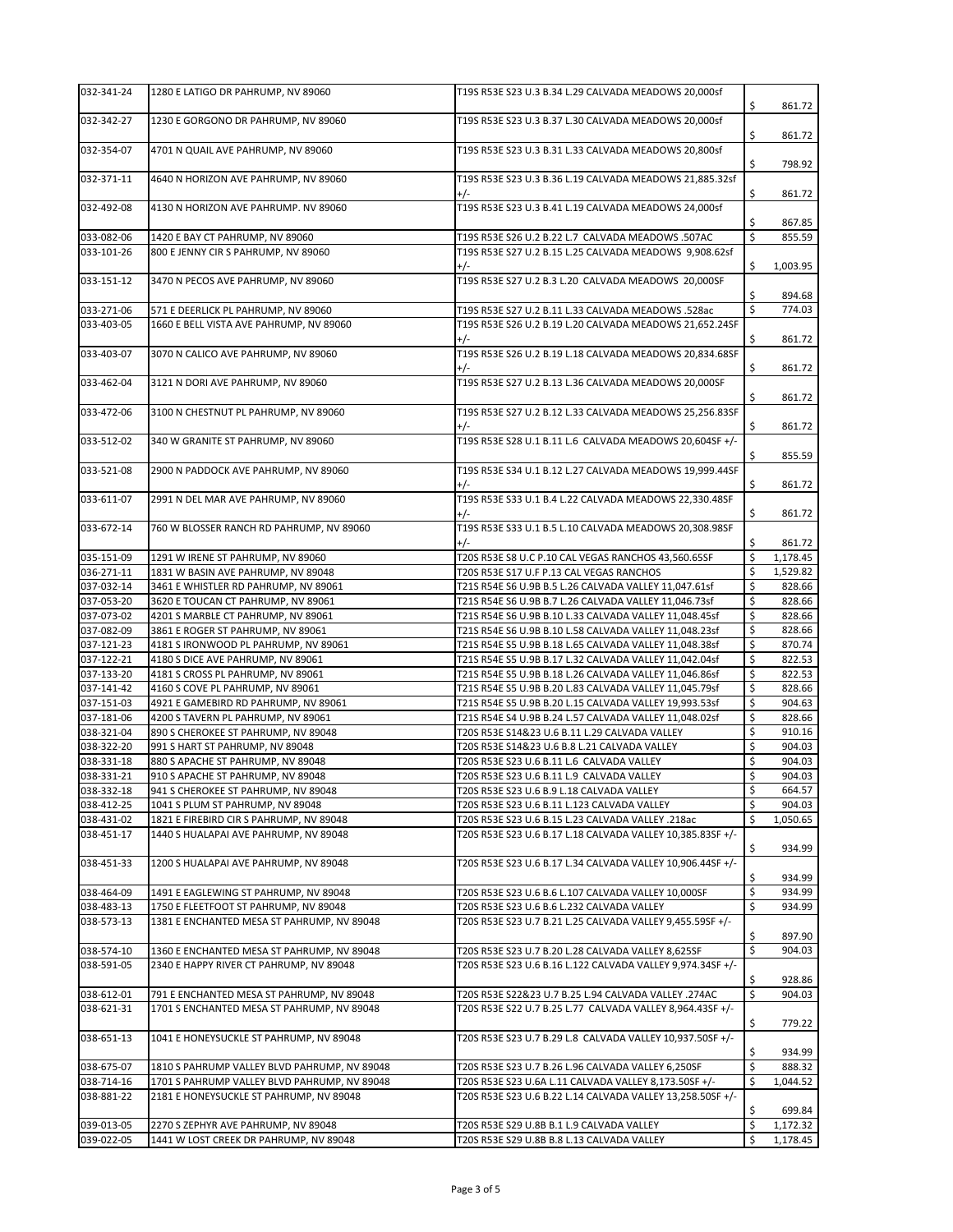| 032-341-24               | 1280 E LATIGO DR PAHRUMP, NV 89060                                               | T19S R53E S23 U.3 B.34 L.29 CALVADA MEADOWS 20,000sf                                                            | \$       | 861.72             |
|--------------------------|----------------------------------------------------------------------------------|-----------------------------------------------------------------------------------------------------------------|----------|--------------------|
| 032-342-27               | 1230 E GORGONO DR PAHRUMP, NV 89060                                              | T19S R53E S23 U.3 B.37 L.30 CALVADA MEADOWS 20,000sf                                                            | \$       | 861.72             |
| 032-354-07               | 4701 N QUAIL AVE PAHRUMP, NV 89060                                               | T19S R53E S23 U.3 B.31 L.33 CALVADA MEADOWS 20,800sf                                                            | \$       | 798.92             |
| 032-371-11               | 4640 N HORIZON AVE PAHRUMP, NV 89060                                             | T19S R53E S23 U.3 B.36 L.19 CALVADA MEADOWS 21,885.32sf<br>$+/-$                                                | \$       | 861.72             |
| 032-492-08               | 4130 N HORIZON AVE PAHRUMP. NV 89060                                             | T19S R53E S23 U.3 B.41 L.19 CALVADA MEADOWS 24,000sf                                                            | \$       | 867.85             |
| 033-082-06               | 1420 E BAY CT PAHRUMP, NV 89060                                                  | T19S R53E S26 U.2 B.22 L.7 CALVADA MEADOWS .507AC                                                               | \$       | 855.59             |
| 033-101-26               | 800 E JENNY CIR S PAHRUMP, NV 89060                                              | T19S R53E S27 U.2 B.15 L.25 CALVADA MEADOWS 9,908.62sf                                                          |          |                    |
|                          |                                                                                  | $+/-$                                                                                                           | \$       | 1,003.95           |
| 033-151-12               | 3470 N PECOS AVE PAHRUMP, NV 89060                                               | T19S R53E S27 U.2 B.3 L.20 CALVADA MEADOWS 20,000SF                                                             | \$       | 894.68             |
| 033-271-06               | 571 E DEERLICK PL PAHRUMP, NV 89060                                              | T19S R53E S27 U.2 B.11 L.33 CALVADA MEADOWS .528ac                                                              | \$       | 774.03             |
| 033-403-05               | 1660 E BELL VISTA AVE PAHRUMP, NV 89060                                          | T19S R53E S26 U.2 B.19 L.20 CALVADA MEADOWS 21,652.24SF<br>$+/-$                                                | \$       | 861.72             |
| 033-403-07               | 3070 N CALICO AVE PAHRUMP, NV 89060                                              | T19S R53E S26 U.2 B.19 L.18 CALVADA MEADOWS 20,834.68SF<br>$+/-$                                                | \$       | 861.72             |
| 033-462-04               | 3121 N DORI AVE PAHRUMP, NV 89060                                                | T19S R53E S27 U.2 B.13 L.36 CALVADA MEADOWS 20,000SF                                                            | \$       | 861.72             |
| 033-472-06               | 3100 N CHESTNUT PL PAHRUMP, NV 89060                                             | T19S R53E S27 U.2 B.12 L.33 CALVADA MEADOWS 25,256.83SF<br>$+/-$                                                | \$       | 861.72             |
| 033-512-02               | 340 W GRANITE ST PAHRUMP, NV 89060                                               | T19S R53E S28 U.1 B.11 L.6 CALVADA MEADOWS 20,604SF +/-                                                         |          |                    |
|                          |                                                                                  |                                                                                                                 | \$       | 855.59             |
| 033-521-08               | 2900 N PADDOCK AVE PAHRUMP, NV 89060                                             | T19S R53E S34 U.1 B.12 L.27 CALVADA MEADOWS 19,999.44SF<br>$+/-$                                                | \$       | 861.72             |
| 033-611-07               | 2991 N DEL MAR AVE PAHRUMP, NV 89060                                             | T19S R53E S33 U.1 B.4 L.22 CALVADA MEADOWS 22,330.48SF                                                          |          |                    |
| 033-672-14               | 760 W BLOSSER RANCH RD PAHRUMP, NV 89060                                         | $+/-$<br>T19S R53E S33 U.1 B.5 L.10 CALVADA MEADOWS 20,308.98SF                                                 | \$       | 861.72             |
|                          |                                                                                  | $+/-$                                                                                                           | \$       | 861.72             |
| 035-151-09               | 1291 W IRENE ST PAHRUMP, NV 89060                                                | T20S R53E S8 U.C P.10 CAL VEGAS RANCHOS 43,560.65SF                                                             | \$       | 1,178.45           |
| 036-271-11               | 1831 W BASIN AVE PAHRUMP, NV 89048                                               | T20S R53E S17 U.F P.13 CAL VEGAS RANCHOS                                                                        | \$       | 1,529.82           |
| 037-032-14<br>037-053-20 | 3461 E WHISTLER RD PAHRUMP, NV 89061<br>3620 E TOUCAN CT PAHRUMP, NV 89061       | T21S R54E S6 U.9B B.5 L.26 CALVADA VALLEY 11,047.61sf                                                           | \$       | 828.66<br>828.66   |
| 037-073-02               | 4201 S MARBLE CT PAHRUMP, NV 89061                                               | T21S R54E S6 U.9B B.7 L.26 CALVADA VALLEY 11,046.73sf<br>T21S R54E S6 U.9B B.10 L.33 CALVADA VALLEY 11,048.45sf | \$<br>\$ | 828.66             |
| 037-082-09               | 3861 E ROGER ST PAHRUMP, NV 89061                                                | T21S R54E S6 U.9B B.10 L.58 CALVADA VALLEY 11,048.23sf                                                          | \$       | 828.66             |
| 037-121-23               | 4181 S IRONWOOD PL PAHRUMP, NV 89061                                             | T21S R54E S5 U.9B B.18 L.65 CALVADA VALLEY 11,048.38sf                                                          | \$       | 870.74             |
| 037-122-21               | 4180 S DICE AVE PAHRUMP, NV 89061                                                | T21S R54E S5 U.9B B.17 L.32 CALVADA VALLEY 11,042.04sf                                                          | \$       | 822.53             |
| 037-133-20               | 4181 S CROSS PL PAHRUMP, NV 89061                                                | T21S R54E S5 U.9B B.18 L.26 CALVADA VALLEY 11,046.86sf                                                          | \$       | 822.53             |
| 037-141-42               | 4160 S COVE PL PAHRUMP, NV 89061                                                 | T21S R54E S5 U.9B B.20 L.83 CALVADA VALLEY 11,045.79sf                                                          | \$       | 828.66             |
| 037-151-03               | 4921 E GAMEBIRD RD PAHRUMP, NV 89061                                             | T21S R54E S5 U.9B B.20 L.15 CALVADA VALLEY 19,993.53sf                                                          | \$       | 904.63             |
| 037-181-06               | 4200 S TAVERN PL PAHRUMP, NV 89061                                               | T21S R54E S4 U.9B B.24 L.57 CALVADA VALLEY 11,048.02sf                                                          | \$       | 828.66             |
| 038-321-04               | 890 S CHEROKEE ST PAHRUMP, NV 89048                                              | T20S R53E S14&23 U.6 B.11 L.29 CALVADA VALLEY                                                                   | \$       | 910.16             |
| 038-322-20               | 991 S HART ST PAHRUMP, NV 89048                                                  | T20S R53E S14&23 U.6 B.8 L.21 CALVADA VALLEY                                                                    | \$       | 904.03             |
| 038-331-18               | 880 S APACHE ST PAHRUMP, NV 89048                                                | T20S R53E S23 U.6 B.11 L.6 CALVADA VALLEY                                                                       | \$       | 904.03             |
| 038-331-21               | 910 S APACHE ST PAHRUMP, NV 89048                                                | T20S R53E S23 U.6 B.11 L.9 CALVADA VALLEY                                                                       | \$       | 904.03             |
| 038-332-18               | 941 S CHEROKEE ST PAHRUMP, NV 89048                                              | T20S R53E S23 U.6 B.9 L.18 CALVADA VALLEY                                                                       | \$       | 664.57             |
| 038-412-25               | 1041 S PLUM ST PAHRUMP, NV 89048                                                 | T20S R53E S23 U.6 B.11 L.123 CALVADA VALLEY                                                                     | \$       | 904.03<br>1,050.65 |
| 038-431-02<br>038-451-17 | 1821 E FIREBIRD CIR S PAHRUMP, NV 89048<br>1440 S HUALAPAI AVE PAHRUMP, NV 89048 | T20S R53E S23 U.6 B.15 L.23 CALVADA VALLEY .218ac<br>T20S R53E S23 U.6 B.17 L.18 CALVADA VALLEY 10,385.83SF +/- | \$       |                    |
| 038-451-33               | 1200 S HUALAPAI AVE PAHRUMP, NV 89048                                            |                                                                                                                 | \$       | 934.99             |
|                          |                                                                                  | T20S R53E S23 U.6 B.17 L.34 CALVADA VALLEY 10,906.44SF +/-                                                      | \$       | 934.99             |
| 038-464-09               | 1491 E EAGLEWING ST PAHRUMP, NV 89048                                            | T20S R53E S23 U.6 B.6 L.107 CALVADA VALLEY 10,000SF                                                             | \$       | 934.99             |
| 038-483-13               | 1750 E FLEETFOOT ST PAHRUMP, NV 89048                                            | T20S R53E S23 U.6 B.6 L.232 CALVADA VALLEY                                                                      | \$       | 934.99             |
| 038-573-13               | 1381 E ENCHANTED MESA ST PAHRUMP, NV 89048                                       | T20S R53E S23 U.7 B.21 L.25 CALVADA VALLEY 9,455.59SF +/-                                                       | \$       | 897.90             |
| 038-574-10               | 1360 E ENCHANTED MESA ST PAHRUMP, NV 89048                                       | T20S R53E S23 U.7 B.20 L.28 CALVADA VALLEY 8,625SF                                                              | \$       | 904.03             |
| 038-591-05               | 2340 E HAPPY RIVER CT PAHRUMP, NV 89048                                          | T20S R53E S23 U.6 B.16 L.122 CALVADA VALLEY 9,974.34SF +/-                                                      |          |                    |
|                          |                                                                                  |                                                                                                                 | \$       | 928.86             |
| 038-612-01               | 791 E ENCHANTED MESA ST PAHRUMP, NV 89048                                        | T20S R53E S22&23 U.7 B.25 L.94 CALVADA VALLEY .274AC                                                            | \$       | 904.03             |
| 038-621-31               | 1701 S ENCHANTED MESA ST PAHRUMP, NV 89048                                       | T20S R53E S22 U.7 B.25 L.77 CALVADA VALLEY 8,964.43SF +/-                                                       | \$       | 779.22             |
| 038-651-13               | 1041 E HONEYSUCKLE ST PAHRUMP, NV 89048                                          | T20S R53E S23 U.7 B.29 L.8 CALVADA VALLEY 10,937.50SF +/-                                                       | \$       | 934.99             |
| 038-675-07               | 1810 S PAHRUMP VALLEY BLVD PAHRUMP, NV 89048                                     | T20S R53E S23 U.7 B.26 L.96 CALVADA VALLEY 6,250SF                                                              | \$       | 888.32             |
| 038-714-16               | 1701 S PAHRUMP VALLEY BLVD PAHRUMP, NV 89048                                     | T20S R53E S23 U.6A L.11 CALVADA VALLEY 8,173.50SF +/-                                                           | \$       | 1,044.52           |
| 038-881-22               | 2181 E HONEYSUCKLE ST PAHRUMP, NV 89048                                          | T20S R53E S23 U.6 B.22 L.14 CALVADA VALLEY 13,258.50SF +/-                                                      | \$       | 699.84             |
| 039-013-05               | 2270 S ZEPHYR AVE PAHRUMP, NV 89048                                              | T20S R53E S29 U.8B B.1 L.9 CALVADA VALLEY                                                                       | \$       | 1,172.32           |
| 039-022-05               | 1441 W LOST CREEK DR PAHRUMP, NV 89048                                           | T20S R53E S29 U.8B B.8 L.13 CALVADA VALLEY                                                                      | \$       | 1,178.45           |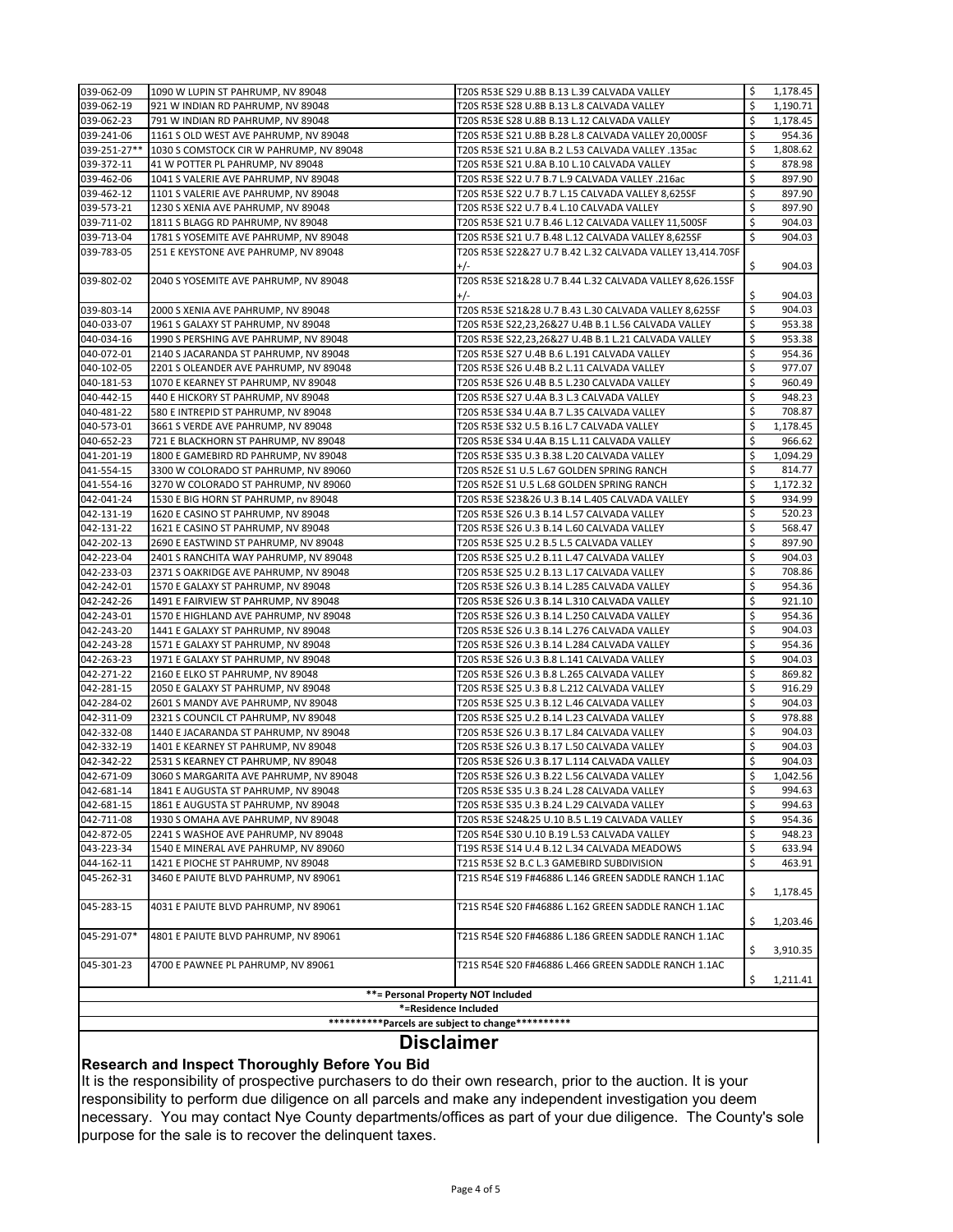| 039-062-09                                                 | 1090 W LUPIN ST PAHRUMP, NV 89048                                            | T20S R53E S29 U.8B B.13 L.39 CALVADA VALLEY                                             | \$.      | 1,178.45           |  |  |  |
|------------------------------------------------------------|------------------------------------------------------------------------------|-----------------------------------------------------------------------------------------|----------|--------------------|--|--|--|
| 039-062-19                                                 | 921 W INDIAN RD PAHRUMP, NV 89048                                            | T20S R53E S28 U.8B B.13 L.8 CALVADA VALLEY                                              | \$       | 1,190.71           |  |  |  |
| 039-062-23                                                 | 791 W INDIAN RD PAHRUMP, NV 89048                                            | T20S R53E S28 U.8B B.13 L.12 CALVADA VALLEY                                             | \$       | 1,178.45           |  |  |  |
| 039-241-06                                                 | 1161 S OLD WEST AVE PAHRUMP, NV 89048                                        | T20S R53E S21 U.8B B.28 L.8 CALVADA VALLEY 20,000SF                                     | \$       | 954.36             |  |  |  |
| 039-251-27**                                               | 1030 S COMSTOCK CIR W PAHRUMP, NV 89048                                      | T20S R53E S21 U.8A B.2 L.53 CALVADA VALLEY .135ac                                       | \$       | 1,808.62           |  |  |  |
| 039-372-11                                                 | 41 W POTTER PL PAHRUMP, NV 89048                                             | T20S R53E S21 U.8A B.10 L.10 CALVADA VALLEY                                             | \$       | 878.98             |  |  |  |
| 039-462-06                                                 | 1041 S VALERIE AVE PAHRUMP, NV 89048                                         | T20S R53E S22 U.7 B.7 L.9 CALVADA VALLEY .216ac                                         | \$       | 897.90             |  |  |  |
| 039-462-12                                                 | 1101 S VALERIE AVE PAHRUMP, NV 89048                                         | T20S R53E S22 U.7 B.7 L.15 CALVADA VALLEY 8,625SF                                       | \$       | 897.90             |  |  |  |
| 039-573-21                                                 | 1230 S XENIA AVE PAHRUMP, NV 89048                                           | T20S R53E S22 U.7 B.4 L.10 CALVADA VALLEY                                               | \$       | 897.90             |  |  |  |
| 039-711-02                                                 | 1811 S BLAGG RD PAHRUMP, NV 89048                                            | T20S R53E S21 U.7 B.46 L.12 CALVADA VALLEY 11,500SF                                     | \$       | 904.03             |  |  |  |
| 039-713-04                                                 | 1781 S YOSEMITE AVE PAHRUMP, NV 89048                                        | T20S R53E S21 U.7 B.48 L.12 CALVADA VALLEY 8,625SF                                      | \$       | 904.03             |  |  |  |
| 039-783-05                                                 | 251 E KEYSTONE AVE PAHRUMP, NV 89048                                         | T20S R53E S22&27 U.7 B.42 L.32 CALVADA VALLEY 13,414.70SF                               |          |                    |  |  |  |
|                                                            |                                                                              | $+/-$                                                                                   | \$       | 904.03             |  |  |  |
| 039-802-02                                                 | 2040 S YOSEMITE AVE PAHRUMP, NV 89048                                        | T20S R53E S21&28 U.7 B.44 L.32 CALVADA VALLEY 8,626.15SF                                |          |                    |  |  |  |
|                                                            |                                                                              | $+/-$                                                                                   | Ś.       | 904.03             |  |  |  |
| 039-803-14                                                 | 2000 S XENIA AVE PAHRUMP, NV 89048                                           | T20S R53E S21&28 U.7 B.43 L.30 CALVADA VALLEY 8,625SF                                   | \$       | 904.03             |  |  |  |
| 040-033-07                                                 | 1961 S GALAXY ST PAHRUMP, NV 89048                                           | T20S R53E S22,23,26&27 U.4B B.1 L.56 CALVADA VALLEY                                     | \$       | 953.38             |  |  |  |
| 040-034-16                                                 | 1990 S PERSHING AVE PAHRUMP, NV 89048                                        | T20S R53E S22,23,26&27 U.4B B.1 L.21 CALVADA VALLEY                                     | \$       | 953.38             |  |  |  |
| 040-072-01                                                 | 2140 S JACARANDA ST PAHRUMP, NV 89048                                        | T20S R53E S27 U.4B B.6 L.191 CALVADA VALLEY                                             | \$       | 954.36             |  |  |  |
| 040-102-05                                                 | 2201 S OLEANDER AVE PAHRUMP, NV 89048                                        | T20S R53E S26 U.4B B.2 L.11 CALVADA VALLEY                                              | \$       | 977.07             |  |  |  |
| 040-181-53                                                 | 1070 E KEARNEY ST PAHRUMP, NV 89048                                          | T20S R53E S26 U.4B B.5 L.230 CALVADA VALLEY                                             | \$       | 960.49             |  |  |  |
| 040-442-15                                                 | 440 E HICKORY ST PAHRUMP, NV 89048                                           | T20S R53E S27 U.4A B.3 L.3 CALVADA VALLEY                                               | \$       | 948.23             |  |  |  |
| 040-481-22                                                 | 580 E INTREPID ST PAHRUMP, NV 89048                                          | T20S R53E S34 U.4A B.7 L.35 CALVADA VALLEY                                              | \$       | 708.87             |  |  |  |
| 040-573-01                                                 | 3661 S VERDE AVE PAHRUMP, NV 89048                                           | T20S R53E S32 U.5 B.16 L.7 CALVADA VALLEY                                               | \$<br>\$ | 1,178.45           |  |  |  |
| 040-652-23                                                 | 721 E BLACKHORN ST PAHRUMP, NV 89048<br>1800 E GAMEBIRD RD PAHRUMP, NV 89048 | T20S R53E S34 U.4A B.15 L.11 CALVADA VALLEY                                             | \$       | 966.62             |  |  |  |
| 041-201-19<br>041-554-15                                   | 3300 W COLORADO ST PAHRUMP, NV 89060                                         | T20S R53E S35 U.3 B.38 L.20 CALVADA VALLEY<br>T20S R52E S1 U.5 L.67 GOLDEN SPRING RANCH | \$       | 1,094.29<br>814.77 |  |  |  |
| 041-554-16                                                 | 3270 W COLORADO ST PAHRUMP, NV 89060                                         | T20S R52E S1 U.5 L.68 GOLDEN SPRING RANCH                                               | \$       | 1,172.32           |  |  |  |
| 042-041-24                                                 | 1530 E BIG HORN ST PAHRUMP, nv 89048                                         | T20S R53E S23&26 U.3 B.14 L.405 CALVADA VALLEY                                          | \$       | 934.99             |  |  |  |
| 042-131-19                                                 | 1620 E CASINO ST PAHRUMP, NV 89048                                           | T20S R53E S26 U.3 B.14 L.57 CALVADA VALLEY                                              | \$       | 520.23             |  |  |  |
| 042-131-22                                                 | 1621 E CASINO ST PAHRUMP, NV 89048                                           | T20S R53E S26 U.3 B.14 L.60 CALVADA VALLEY                                              | \$       | 568.47             |  |  |  |
| 042-202-13                                                 | 2690 E EASTWIND ST PAHRUMP, NV 89048                                         | T20S R53E S25 U.2 B.5 L.5 CALVADA VALLEY                                                | \$       | 897.90             |  |  |  |
| 042-223-04                                                 | 2401 S RANCHITA WAY PAHRUMP, NV 89048                                        | T20S R53E S25 U.2 B.11 L.47 CALVADA VALLEY                                              | \$       | 904.03             |  |  |  |
| 042-233-03                                                 | 2371 S OAKRIDGE AVE PAHRUMP, NV 89048                                        | T20S R53E S25 U.2 B.13 L.17 CALVADA VALLEY                                              | \$       | 708.86             |  |  |  |
| 042-242-01                                                 | 1570 E GALAXY ST PAHRUMP, NV 89048                                           | T20S R53E S26 U.3 B.14 L.285 CALVADA VALLEY                                             | \$       | 954.36             |  |  |  |
| 042-242-26                                                 | 1491 E FAIRVIEW ST PAHRUMP, NV 89048                                         | T20S R53E S26 U.3 B.14 L.310 CALVADA VALLEY                                             | \$       | 921.10             |  |  |  |
| 042-243-01                                                 | 1570 E HIGHLAND AVE PAHRUMP, NV 89048                                        | T20S R53E S26 U.3 B.14 L.250 CALVADA VALLEY                                             | \$       | 954.36             |  |  |  |
| 042-243-20                                                 | 1441 E GALAXY ST PAHRUMP, NV 89048                                           | T20S R53E S26 U.3 B.14 L.276 CALVADA VALLEY                                             | \$       | 904.03             |  |  |  |
| 042-243-28                                                 | 1571 E GALAXY ST PAHRUMP, NV 89048                                           | T20S R53E S26 U.3 B.14 L.284 CALVADA VALLEY                                             | \$       | 954.36             |  |  |  |
| 042-263-23                                                 | 1971 E GALAXY ST PAHRUMP, NV 89048                                           | T20S R53E S26 U.3 B.8 L.141 CALVADA VALLEY                                              | \$       | 904.03             |  |  |  |
| 042-271-22                                                 | 2160 E ELKO ST PAHRUMP, NV 89048                                             | T20S R53E S26 U.3 B.8 L.265 CALVADA VALLEY                                              | \$       | 869.82             |  |  |  |
| 042-281-15                                                 | 2050 E GALAXY ST PAHRUMP, NV 89048                                           | T20S R53E S25 U.3 B.8 L.212 CALVADA VALLEY                                              | \$       | 916.29             |  |  |  |
| 042-284-02                                                 | 2601 S MANDY AVE PAHRUMP, NV 89048                                           | T20S R53E S25 U.3 B.12 L.46 CALVADA VALLEY                                              | \$       | 904.03             |  |  |  |
| 042-311-09                                                 | 2321 S COUNCIL CT PAHRUMP, NV 89048                                          | T20S R53E S25 U.2 B.14 L.23 CALVADA VALLEY                                              | \$       | 978.88             |  |  |  |
| 042-332-08                                                 | 1440 E JACARANDA ST PAHRUMP, NV 89048                                        | T20S R53E S26 U.3 B.17 L.84 CALVADA VALLEY                                              | \$       | 904.03             |  |  |  |
| 042-332-19                                                 | 1401 E KEARNEY ST PAHRUMP, NV 89048                                          | T20S R53E S26 U.3 B.17 L.50 CALVADA VALLEY                                              | \$       | 904.03             |  |  |  |
| 042-342-22                                                 | 2531 S KEARNEY CT PAHRUMP, NV 89048                                          | T20S R53E S26 U.3 B.17 L.114 CALVADA VALLEY                                             | \$       | 904.03             |  |  |  |
| 042-671-09                                                 | 3060 S MARGARITA AVE PAHRUMP, NV 89048                                       | T20S R53E S26 U.3 B.22 L.56 CALVADA VALLEY                                              | \$       | 1,042.56           |  |  |  |
| 042-681-14                                                 | 1841 E AUGUSTA ST PAHRUMP, NV 89048                                          | T20S R53E S35 U.3 B.24 L.28 CALVADA VALLEY                                              | \$       | 994.63             |  |  |  |
| 042-681-15                                                 | 1861 E AUGUSTA ST PAHRUMP, NV 89048                                          | T20S R53E S35 U.3 B.24 L.29 CALVADA VALLEY                                              | \$       | 994.63             |  |  |  |
| 042-711-08                                                 | 1930 S OMAHA AVE PAHRUMP, NV 89048                                           | T20S R53E S24&25 U.10 B.5 L.19 CALVADA VALLEY                                           | \$       | 954.36             |  |  |  |
| 042-872-05                                                 | 2241 S WASHOE AVE PAHRUMP, NV 89048                                          | T20S R54E S30 U.10 B.19 L.53 CALVADA VALLEY                                             | \$       | 948.23             |  |  |  |
| 043-223-34                                                 | 1540 E MINERAL AVE PAHRUMP, NV 89060                                         | T19S R53E S14 U.4 B.12 L.34 CALVADA MEADOWS                                             | \$       | 633.94             |  |  |  |
| 044-162-11                                                 | 1421 E PIOCHE ST PAHRUMP, NV 89048                                           | T21S R53E S2 B.C L.3 GAMEBIRD SUBDIVISION                                               | \$       | 463.91             |  |  |  |
| 045-262-31                                                 | 3460 E PAIUTE BLVD PAHRUMP, NV 89061                                         | T21S R54E S19 F#46886 L.146 GREEN SADDLE RANCH 1.1AC                                    |          |                    |  |  |  |
|                                                            |                                                                              |                                                                                         | \$       | 1,178.45           |  |  |  |
| 045-283-15                                                 | 4031 E PAIUTE BLVD PAHRUMP, NV 89061                                         | T21S R54E S20 F#46886 L.162 GREEN SADDLE RANCH 1.1AC                                    |          |                    |  |  |  |
|                                                            |                                                                              |                                                                                         | \$       | 1,203.46           |  |  |  |
| 045-291-07*                                                | 4801 E PAIUTE BLVD PAHRUMP, NV 89061                                         | T21S R54E S20 F#46886 L.186 GREEN SADDLE RANCH 1.1AC                                    |          |                    |  |  |  |
|                                                            |                                                                              |                                                                                         | \$       | 3,910.35           |  |  |  |
| 045-301-23                                                 | 4700 E PAWNEE PL PAHRUMP, NV 89061                                           | T21S R54E S20 F#46886 L.466 GREEN SADDLE RANCH 1.1AC                                    |          |                    |  |  |  |
|                                                            |                                                                              |                                                                                         | \$       | 1,211.41           |  |  |  |
| **= Personal Property NOT Included<br>*=Residence Included |                                                                              |                                                                                         |          |                    |  |  |  |
|                                                            |                                                                              |                                                                                         |          |                    |  |  |  |
|                                                            | **********Parcels are subject to change**********                            |                                                                                         |          |                    |  |  |  |

# **Disclaimer**

## **Research and Inspect Thoroughly Before You Bid**

It is the responsibility of prospective purchasers to do their own research, prior to the auction. It is your responsibility to perform due diligence on all parcels and make any independent investigation you deem necessary. You may contact Nye County departments/offices as part of your due diligence. The County's sole purpose for the sale is to recover the delinquent taxes.